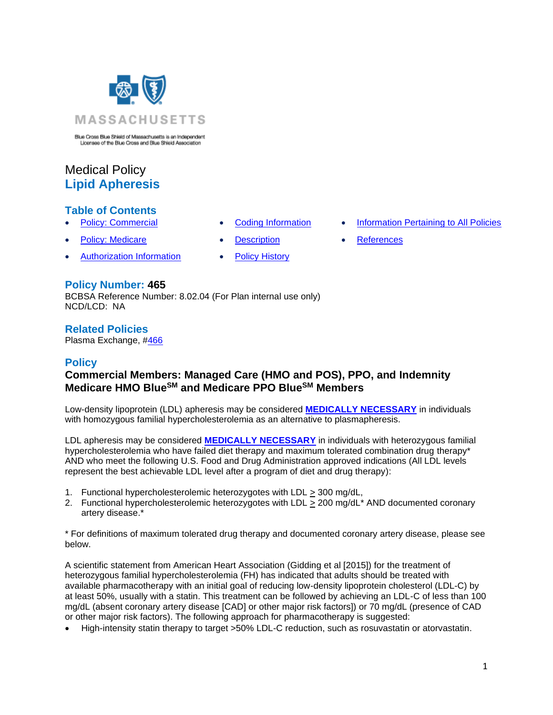

Blue Cross Blue Shield of Massachusetts is an Independent<br>Licensee of the Blue Cross and Blue Shield Association

# Medical Policy **Lipid Apheresis**

# **Table of Contents**

- 
- **[Policy: Medicare](#page-0-0) [Description](#page-3-0) [References](#page-7-1)**
- [Authorization Information](#page-1-1) [Policy History](#page-6-0)
- 
- **[Policy: Commercial](#page-0-0) [Coding Information](#page-1-0) [Information Pertaining to All Policies](#page-7-0)** 
	-

# **Policy Number: 465**

BCBSA Reference Number: 8.02.04 (For Plan internal use only) NCD/LCD: NA

## **Related Policies**

<span id="page-0-0"></span>Plasma Exchange, [#466](https://www.bluecrossma.org/medical-policies/sites/g/files/csphws2091/files/acquiadam-assets/466%20Plasma%20Exchange%20prn.pdf)

# **Policy**

# **Commercial Members: Managed Care (HMO and POS), PPO, and Indemnity Medicare HMO BlueSM and Medicare PPO BlueSM Members**

Low-density lipoprotein (LDL) apheresis may be considered **[MEDICALLY NECESSARY](https://www.bluecrossma.org/medical-policies/sites/g/files/csphws2091/files/acquiadam-assets/Definition%20of%20Med%20Nec%20Inv%20Not%20Med%20Nec%20prn.pdf#page=1)** in individuals with homozygous familial hypercholesterolemia as an alternative to plasmapheresis.

LDL apheresis may be considered **[MEDICALLY NECESSARY](https://www.bluecrossma.org/medical-policies/sites/g/files/csphws2091/files/acquiadam-assets/Definition%20of%20Med%20Nec%20Inv%20Not%20Med%20Nec%20prn.pdf#page=1)** in individuals with heterozygous familial hypercholesterolemia who have failed diet therapy and maximum tolerated combination drug therapy\* AND who meet the following U.S. Food and Drug Administration approved indications (All LDL levels represent the best achievable LDL level after a program of diet and drug therapy):

- 1. Functional hypercholesterolemic heterozygotes with LDL > 300 mg/dL,
- 2. Functional hypercholesterolemic heterozygotes with LDL > 200 mg/dL<sup>\*</sup> AND documented coronary artery disease.\*

\* For definitions of maximum tolerated drug therapy and documented coronary artery disease, please see below.

A scientific statement from American Heart Association (Gidding et al [2015]) for the treatment of heterozygous familial hypercholesterolemia (FH) has indicated that adults should be treated with available pharmacotherapy with an initial goal of reducing low-density lipoprotein cholesterol (LDL-C) by at least 50%, usually with a statin. This treatment can be followed by achieving an LDL-C of less than 100 mg/dL (absent coronary artery disease [CAD] or other major risk factors]) or 70 mg/dL (presence of CAD or other major risk factors). The following approach for pharmacotherapy is suggested:

• High-intensity statin therapy to target >50% LDL-C reduction, such as rosuvastatin or atorvastatin.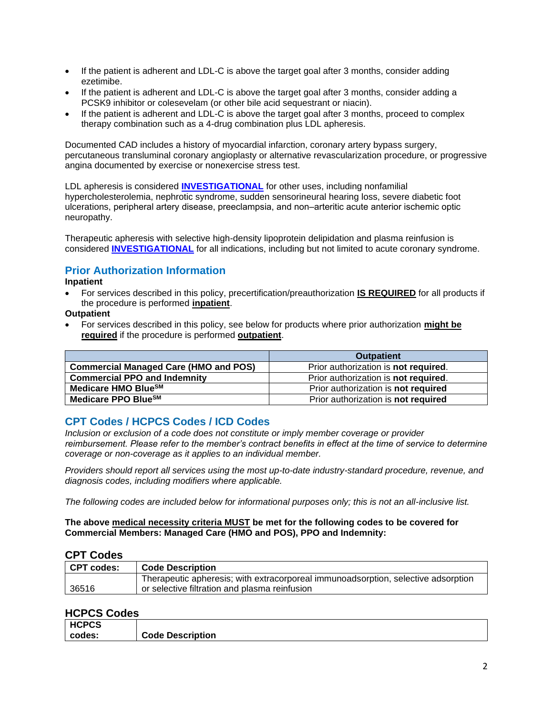- If the patient is adherent and LDL-C is above the target goal after 3 months, consider adding ezetimibe.
- If the patient is adherent and LDL-C is above the target goal after 3 months, consider adding a PCSK9 inhibitor or colesevelam (or other bile acid sequestrant or niacin).
- If the patient is adherent and LDL-C is above the target goal after 3 months, proceed to complex therapy combination such as a 4-drug combination plus LDL apheresis.

Documented CAD includes a history of myocardial infarction, coronary artery bypass surgery, percutaneous transluminal coronary angioplasty or alternative revascularization procedure, or progressive angina documented by exercise or nonexercise stress test.

LDL apheresis is considered **[INVESTIGATIONAL](https://www.bluecrossma.org/medical-policies/sites/g/files/csphws2091/files/acquiadam-assets/Definition%20of%20Med%20Nec%20Inv%20Not%20Med%20Nec%20prn.pdf#page=1)** for other uses, including nonfamilial hypercholesterolemia, nephrotic syndrome, sudden sensorineural hearing loss, severe diabetic foot ulcerations, peripheral artery disease, preeclampsia, and non–arteritic acute anterior ischemic optic neuropathy.

Therapeutic apheresis with selective high-density lipoprotein delipidation and plasma reinfusion is considered **[INVESTIGATIONAL](https://www.bluecrossma.org/medical-policies/sites/g/files/csphws2091/files/acquiadam-assets/Definition%20of%20Med%20Nec%20Inv%20Not%20Med%20Nec%20prn.pdf#page=1)** for all indications, including but not limited to acute coronary syndrome.

# <span id="page-1-1"></span>**Prior Authorization Information**

### **Inpatient**

• For services described in this policy, precertification/preauthorization **IS REQUIRED** for all products if the procedure is performed **inpatient**.

### **Outpatient**

• For services described in this policy, see below for products where prior authorization **might be required** if the procedure is performed **outpatient**.

|                                              | <b>Outpatient</b>                            |
|----------------------------------------------|----------------------------------------------|
| <b>Commercial Managed Care (HMO and POS)</b> | Prior authorization is not required.         |
| <b>Commercial PPO and Indemnity</b>          | Prior authorization is <b>not required</b> . |
| Medicare HMO BlueSM                          | Prior authorization is not required          |
| Medicare PPO Blue <sup>SM</sup>              | Prior authorization is not required          |

## <span id="page-1-0"></span>**CPT Codes / HCPCS Codes / ICD Codes**

*Inclusion or exclusion of a code does not constitute or imply member coverage or provider reimbursement. Please refer to the member's contract benefits in effect at the time of service to determine coverage or non-coverage as it applies to an individual member.*

*Providers should report all services using the most up-to-date industry-standard procedure, revenue, and diagnosis codes, including modifiers where applicable.*

*The following codes are included below for informational purposes only; this is not an all-inclusive list.*

### **The above medical necessity criteria MUST be met for the following codes to be covered for Commercial Members: Managed Care (HMO and POS), PPO and Indemnity:**

## **CPT Codes**

| CPT codes: | <b>Code Description</b>                                                           |
|------------|-----------------------------------------------------------------------------------|
|            | Therapeutic apheresis; with extracorporeal immunoadsorption, selective adsorption |
| 36516      | or selective filtration and plasma reinfusion                                     |

## **HCPCS Codes**

| <b>HCPCS</b> |                         |
|--------------|-------------------------|
| codes:       | <b>Code Description</b> |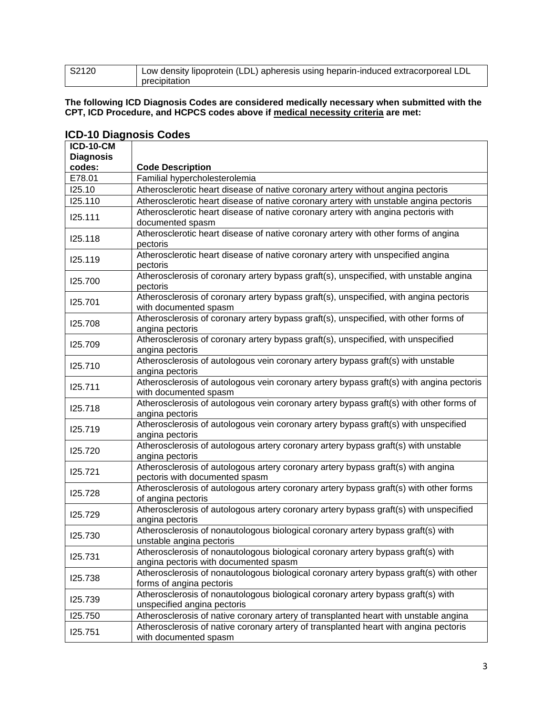| S2120 | Low density lipoprotein (LDL) apheresis using heparin-induced extracorporeal LDL |
|-------|----------------------------------------------------------------------------------|
|       | precipitation                                                                    |

#### **The following ICD Diagnosis Codes are considered medically necessary when submitted with the CPT, ICD Procedure, and HCPCS codes above if medical necessity criteria are met:**

| <b>ICD-10-CM</b> |                                                                                                                           |
|------------------|---------------------------------------------------------------------------------------------------------------------------|
| <b>Diagnosis</b> |                                                                                                                           |
| codes:           | <b>Code Description</b>                                                                                                   |
| E78.01           | Familial hypercholesterolemia                                                                                             |
| 125.10           | Atherosclerotic heart disease of native coronary artery without angina pectoris                                           |
| 125.110          | Atherosclerotic heart disease of native coronary artery with unstable angina pectoris                                     |
| 125.111          | Atherosclerotic heart disease of native coronary artery with angina pectoris with<br>documented spasm                     |
| I25.118          | Atherosclerotic heart disease of native coronary artery with other forms of angina<br>pectoris                            |
| I25.119          | Atherosclerotic heart disease of native coronary artery with unspecified angina<br>pectoris                               |
| 125.700          | Atherosclerosis of coronary artery bypass graft(s), unspecified, with unstable angina<br>pectoris                         |
| 125.701          | Atherosclerosis of coronary artery bypass graft(s), unspecified, with angina pectoris<br>with documented spasm            |
| 125.708          | Atherosclerosis of coronary artery bypass graft(s), unspecified, with other forms of<br>angina pectoris                   |
| I25.709          | Atherosclerosis of coronary artery bypass graft(s), unspecified, with unspecified<br>angina pectoris                      |
| 125.710          | Atherosclerosis of autologous vein coronary artery bypass graft(s) with unstable<br>angina pectoris                       |
| 125.711          | Atherosclerosis of autologous vein coronary artery bypass graft(s) with angina pectoris<br>with documented spasm          |
| 125.718          | Atherosclerosis of autologous vein coronary artery bypass graft(s) with other forms of<br>angina pectoris                 |
| 125.719          | Atherosclerosis of autologous vein coronary artery bypass graft(s) with unspecified<br>angina pectoris                    |
| 125.720          | Atherosclerosis of autologous artery coronary artery bypass graft(s) with unstable<br>angina pectoris                     |
| 125.721          | Atherosclerosis of autologous artery coronary artery bypass graft(s) with angina<br>pectoris with documented spasm        |
| 125.728          | Atherosclerosis of autologous artery coronary artery bypass graft(s) with other forms<br>of angina pectoris               |
| 125.729          | Atherosclerosis of autologous artery coronary artery bypass graft(s) with unspecified<br>angina pectoris                  |
| 125.730          | Atherosclerosis of nonautologous biological coronary artery bypass graft(s) with<br>unstable angina pectoris              |
| 125.731          | Atherosclerosis of nonautologous biological coronary artery bypass graft(s) with<br>angina pectoris with documented spasm |
| 125.738          | Atherosclerosis of nonautologous biological coronary artery bypass graft(s) with other<br>forms of angina pectoris        |
| 125.739          | Atherosclerosis of nonautologous biological coronary artery bypass graft(s) with<br>unspecified angina pectoris           |
| 125.750          | Atherosclerosis of native coronary artery of transplanted heart with unstable angina                                      |
| 125.751          | Atherosclerosis of native coronary artery of transplanted heart with angina pectoris<br>with documented spasm             |

# **ICD-10 Diagnosis Codes**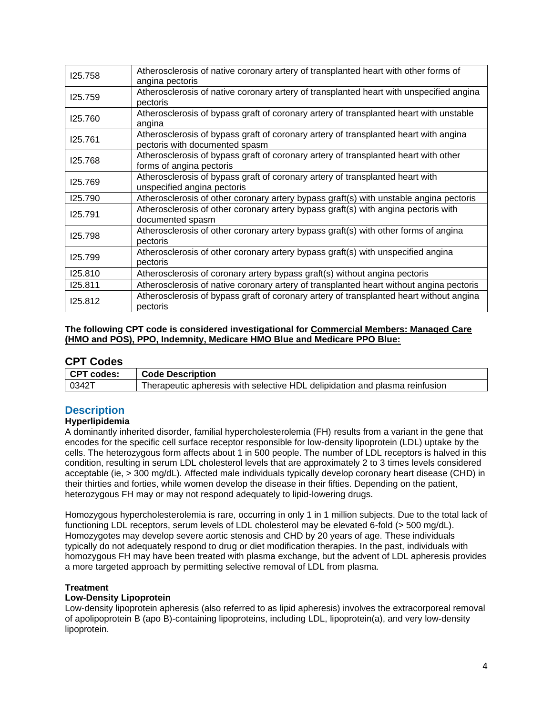| 125.758 | Atherosclerosis of native coronary artery of transplanted heart with other forms of<br>angina pectoris                 |
|---------|------------------------------------------------------------------------------------------------------------------------|
| 125.759 | Atherosclerosis of native coronary artery of transplanted heart with unspecified angina<br>pectoris                    |
| 125.760 | Atherosclerosis of bypass graft of coronary artery of transplanted heart with unstable<br>angina                       |
| 125.761 | Atherosclerosis of bypass graft of coronary artery of transplanted heart with angina<br>pectoris with documented spasm |
| 125.768 | Atherosclerosis of bypass graft of coronary artery of transplanted heart with other<br>forms of angina pectoris        |
| 125.769 | Atherosclerosis of bypass graft of coronary artery of transplanted heart with<br>unspecified angina pectoris           |
| 125.790 | Atherosclerosis of other coronary artery bypass graft(s) with unstable angina pectoris                                 |
| 125.791 | Atherosclerosis of other coronary artery bypass graft(s) with angina pectoris with<br>documented spasm                 |
| 125.798 | Atherosclerosis of other coronary artery bypass graft(s) with other forms of angina<br>pectoris                        |
| 125.799 | Atherosclerosis of other coronary artery bypass graft(s) with unspecified angina<br>pectoris                           |
| 125.810 | Atherosclerosis of coronary artery bypass graft(s) without angina pectoris                                             |
| 125.811 | Atherosclerosis of native coronary artery of transplanted heart without angina pectoris                                |
| 125.812 | Atherosclerosis of bypass graft of coronary artery of transplanted heart without angina<br>pectoris                    |

### **The following CPT code is considered investigational for Commercial Members: Managed Care (HMO and POS), PPO, Indemnity, Medicare HMO Blue and Medicare PPO Blue:**

## **CPT Codes**

| CPT codes: | <b>Code Description</b>                                                     |
|------------|-----------------------------------------------------------------------------|
| 0342T      | Therapeutic apheresis with selective HDL delipidation and plasma reinfusion |

# <span id="page-3-0"></span>**Description**

### **Hyperlipidemia**

A dominantly inherited disorder, familial hypercholesterolemia (FH) results from a variant in the gene that encodes for the specific cell surface receptor responsible for low-density lipoprotein (LDL) uptake by the cells. The heterozygous form affects about 1 in 500 people. The number of LDL receptors is halved in this condition, resulting in serum LDL cholesterol levels that are approximately 2 to 3 times levels considered acceptable (ie, > 300 mg/dL). Affected male individuals typically develop coronary heart disease (CHD) in their thirties and forties, while women develop the disease in their fifties. Depending on the patient, heterozygous FH may or may not respond adequately to lipid-lowering drugs.

Homozygous hypercholesterolemia is rare, occurring in only 1 in 1 million subjects. Due to the total lack of functioning LDL receptors, serum levels of LDL cholesterol may be elevated 6-fold (> 500 mg/dL). Homozygotes may develop severe aortic stenosis and CHD by 20 years of age. These individuals typically do not adequately respond to drug or diet modification therapies. In the past, individuals with homozygous FH may have been treated with plasma exchange, but the advent of LDL apheresis provides a more targeted approach by permitting selective removal of LDL from plasma.

### **Treatment**

### **Low-Density Lipoprotein**

Low-density lipoprotein apheresis (also referred to as lipid apheresis) involves the extracorporeal removal of apolipoprotein B (apo B)-containing lipoproteins, including LDL, lipoprotein(a), and very low-density lipoprotein.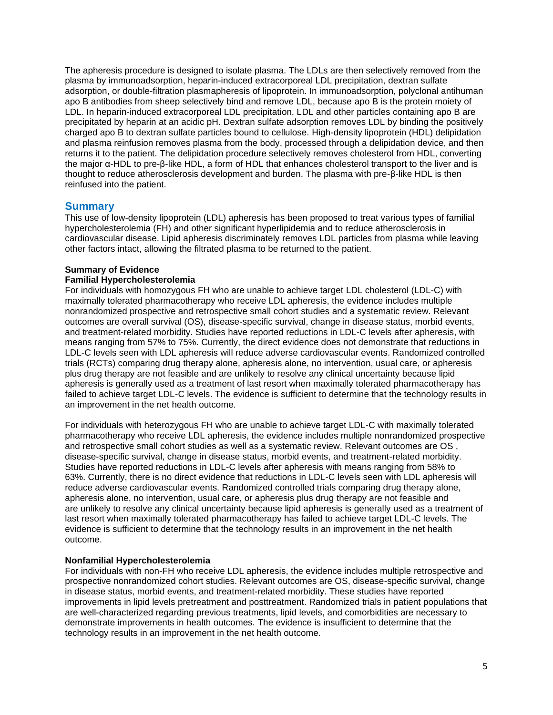The apheresis procedure is designed to isolate plasma. The LDLs are then selectively removed from the plasma by immunoadsorption, heparin-induced extracorporeal LDL precipitation, dextran sulfate adsorption, or double-filtration plasmapheresis of lipoprotein. In immunoadsorption, polyclonal antihuman apo B antibodies from sheep selectively bind and remove LDL, because apo B is the protein moiety of LDL. In heparin-induced extracorporeal LDL precipitation, LDL and other particles containing apo B are precipitated by heparin at an acidic pH. Dextran sulfate adsorption removes LDL by binding the positively charged apo B to dextran sulfate particles bound to cellulose. High-density lipoprotein (HDL) delipidation and plasma reinfusion removes plasma from the body, processed through a delipidation device, and then returns it to the patient. The delipidation procedure selectively removes cholesterol from HDL, converting the major α-HDL to pre-β-like HDL, a form of HDL that enhances cholesterol transport to the liver and is thought to reduce atherosclerosis development and burden. The plasma with pre-β-like HDL is then reinfused into the patient.

### **Summary**

This use of low-density lipoprotein (LDL) apheresis has been proposed to treat various types of familial hypercholesterolemia (FH) and other significant hyperlipidemia and to reduce atherosclerosis in cardiovascular disease. Lipid apheresis discriminately removes LDL particles from plasma while leaving other factors intact, allowing the filtrated plasma to be returned to the patient.

# **Summary of Evidence**

## **Familial Hypercholesterolemia**

For individuals with homozygous FH who are unable to achieve target LDL cholesterol (LDL-C) with maximally tolerated pharmacotherapy who receive LDL apheresis, the evidence includes multiple nonrandomized prospective and retrospective small cohort studies and a systematic review. Relevant outcomes are overall survival (OS), disease-specific survival, change in disease status, morbid events, and treatment-related morbidity. Studies have reported reductions in LDL-C levels after apheresis, with means ranging from 57% to 75%. Currently, the direct evidence does not demonstrate that reductions in LDL-C levels seen with LDL apheresis will reduce adverse cardiovascular events. Randomized controlled trials (RCTs) comparing drug therapy alone, apheresis alone, no intervention, usual care, or apheresis plus drug therapy are not feasible and are unlikely to resolve any clinical uncertainty because lipid apheresis is generally used as a treatment of last resort when maximally tolerated pharmacotherapy has failed to achieve target LDL-C levels. The evidence is sufficient to determine that the technology results in an improvement in the net health outcome.

For individuals with heterozygous FH who are unable to achieve target LDL-C with maximally tolerated pharmacotherapy who receive LDL apheresis, the evidence includes multiple nonrandomized prospective and retrospective small cohort studies as well as a systematic review. Relevant outcomes are OS , disease-specific survival, change in disease status, morbid events, and treatment-related morbidity. Studies have reported reductions in LDL-C levels after apheresis with means ranging from 58% to 63%. Currently, there is no direct evidence that reductions in LDL-C levels seen with LDL apheresis will reduce adverse cardiovascular events. Randomized controlled trials comparing drug therapy alone, apheresis alone, no intervention, usual care, or apheresis plus drug therapy are not feasible and are unlikely to resolve any clinical uncertainty because lipid apheresis is generally used as a treatment of last resort when maximally tolerated pharmacotherapy has failed to achieve target LDL-C levels. The evidence is sufficient to determine that the technology results in an improvement in the net health outcome.

### **Nonfamilial Hypercholesterolemia**

For individuals with non-FH who receive LDL apheresis, the evidence includes multiple retrospective and prospective nonrandomized cohort studies. Relevant outcomes are OS, disease-specific survival, change in disease status, morbid events, and treatment-related morbidity. These studies have reported improvements in lipid levels pretreatment and posttreatment. Randomized trials in patient populations that are well-characterized regarding previous treatments, lipid levels, and comorbidities are necessary to demonstrate improvements in health outcomes. The evidence is insufficient to determine that the technology results in an improvement in the net health outcome.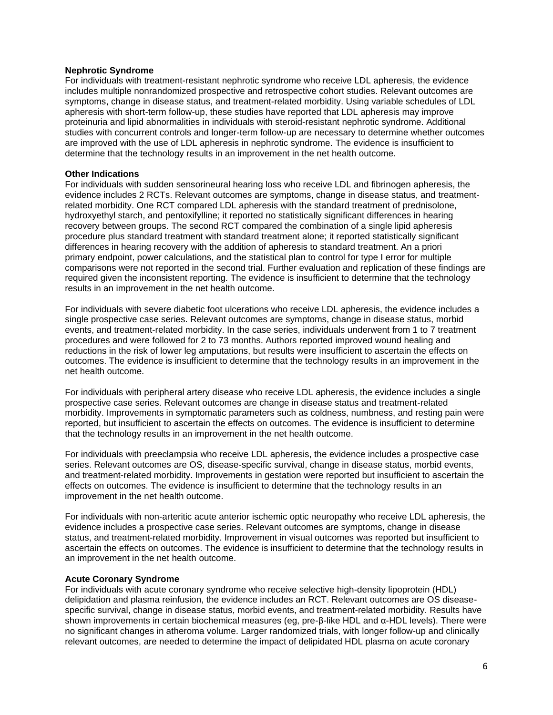#### **Nephrotic Syndrome**

For individuals with treatment-resistant nephrotic syndrome who receive LDL apheresis, the evidence includes multiple nonrandomized prospective and retrospective cohort studies. Relevant outcomes are symptoms, change in disease status, and treatment-related morbidity. Using variable schedules of LDL apheresis with short-term follow-up, these studies have reported that LDL apheresis may improve proteinuria and lipid abnormalities in individuals with steroid-resistant nephrotic syndrome. Additional studies with concurrent controls and longer-term follow-up are necessary to determine whether outcomes are improved with the use of LDL apheresis in nephrotic syndrome. The evidence is insufficient to determine that the technology results in an improvement in the net health outcome.

#### **Other Indications**

For individuals with sudden sensorineural hearing loss who receive LDL and fibrinogen apheresis, the evidence includes 2 RCTs. Relevant outcomes are symptoms, change in disease status, and treatmentrelated morbidity. One RCT compared LDL apheresis with the standard treatment of prednisolone, hydroxyethyl starch, and pentoxifylline; it reported no statistically significant differences in hearing recovery between groups. The second RCT compared the combination of a single lipid apheresis procedure plus standard treatment with standard treatment alone; it reported statistically significant differences in hearing recovery with the addition of apheresis to standard treatment. An a priori primary endpoint, power calculations, and the statistical plan to control for type I error for multiple comparisons were not reported in the second trial. Further evaluation and replication of these findings are required given the inconsistent reporting. The evidence is insufficient to determine that the technology results in an improvement in the net health outcome.

For individuals with severe diabetic foot ulcerations who receive LDL apheresis, the evidence includes a single prospective case series. Relevant outcomes are symptoms, change in disease status, morbid events, and treatment-related morbidity. In the case series, individuals underwent from 1 to 7 treatment procedures and were followed for 2 to 73 months. Authors reported improved wound healing and reductions in the risk of lower leg amputations, but results were insufficient to ascertain the effects on outcomes. The evidence is insufficient to determine that the technology results in an improvement in the net health outcome.

For individuals with peripheral artery disease who receive LDL apheresis, the evidence includes a single prospective case series. Relevant outcomes are change in disease status and treatment-related morbidity. Improvements in symptomatic parameters such as coldness, numbness, and resting pain were reported, but insufficient to ascertain the effects on outcomes. The evidence is insufficient to determine that the technology results in an improvement in the net health outcome.

For individuals with preeclampsia who receive LDL apheresis, the evidence includes a prospective case series. Relevant outcomes are OS, disease-specific survival, change in disease status, morbid events, and treatment-related morbidity. Improvements in gestation were reported but insufficient to ascertain the effects on outcomes. The evidence is insufficient to determine that the technology results in an improvement in the net health outcome.

For individuals with non-arteritic acute anterior ischemic optic neuropathy who receive LDL apheresis, the evidence includes a prospective case series. Relevant outcomes are symptoms, change in disease status, and treatment-related morbidity. Improvement in visual outcomes was reported but insufficient to ascertain the effects on outcomes. The evidence is insufficient to determine that the technology results in an improvement in the net health outcome.

### **Acute Coronary Syndrome**

For individuals with acute coronary syndrome who receive selective high-density lipoprotein (HDL) delipidation and plasma reinfusion, the evidence includes an RCT. Relevant outcomes are OS diseasespecific survival, change in disease status, morbid events, and treatment-related morbidity. Results have shown improvements in certain biochemical measures (eg, pre-β-like HDL and α-HDL levels). There were no significant changes in atheroma volume. Larger randomized trials, with longer follow-up and clinically relevant outcomes, are needed to determine the impact of delipidated HDL plasma on acute coronary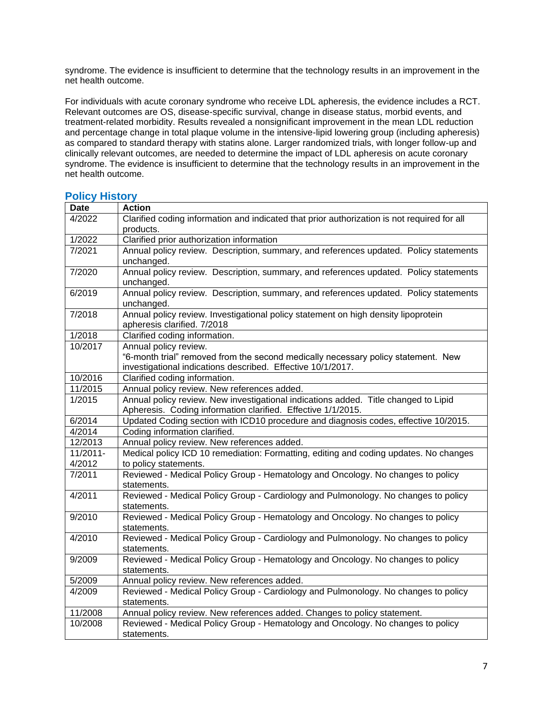syndrome. The evidence is insufficient to determine that the technology results in an improvement in the net health outcome.

For individuals with acute coronary syndrome who receive LDL apheresis, the evidence includes a RCT. Relevant outcomes are OS, disease-specific survival, change in disease status, morbid events, and treatment-related morbidity. Results revealed a nonsignificant improvement in the mean LDL reduction and percentage change in total plaque volume in the intensive-lipid lowering group (including apheresis) as compared to standard therapy with statins alone. Larger randomized trials, with longer follow-up and clinically relevant outcomes, are needed to determine the impact of LDL apheresis on acute coronary syndrome. The evidence is insufficient to determine that the technology results in an improvement in the net health outcome.

| <b>Date</b> | <b>Action</b>                                                                                       |
|-------------|-----------------------------------------------------------------------------------------------------|
| 4/2022      | Clarified coding information and indicated that prior authorization is not required for all         |
|             | products.                                                                                           |
| 1/2022      | Clarified prior authorization information                                                           |
| 7/2021      | Annual policy review. Description, summary, and references updated. Policy statements               |
|             | unchanged.                                                                                          |
| 7/2020      | Annual policy review. Description, summary, and references updated. Policy statements<br>unchanged. |
| 6/2019      | Annual policy review. Description, summary, and references updated. Policy statements               |
|             | unchanged.                                                                                          |
| 7/2018      | Annual policy review. Investigational policy statement on high density lipoprotein                  |
|             | apheresis clarified. 7/2018                                                                         |
| 1/2018      | Clarified coding information.                                                                       |
| 10/2017     | Annual policy review.                                                                               |
|             | "6-month trial" removed from the second medically necessary policy statement. New                   |
|             | investigational indications described. Effective 10/1/2017.                                         |
| 10/2016     | Clarified coding information.                                                                       |
| 11/2015     | Annual policy review. New references added.                                                         |
| 1/2015      | Annual policy review. New investigational indications added. Title changed to Lipid                 |
|             | Apheresis. Coding information clarified. Effective 1/1/2015.                                        |
| 6/2014      | Updated Coding section with ICD10 procedure and diagnosis codes, effective 10/2015.                 |
| 4/2014      | Coding information clarified.                                                                       |
| 12/2013     | Annual policy review. New references added.                                                         |
| 11/2011-    | Medical policy ICD 10 remediation: Formatting, editing and coding updates. No changes               |
| 4/2012      | to policy statements.                                                                               |
| 7/2011      | Reviewed - Medical Policy Group - Hematology and Oncology. No changes to policy                     |
|             | statements.                                                                                         |
| 4/2011      | Reviewed - Medical Policy Group - Cardiology and Pulmonology. No changes to policy                  |
|             | statements.                                                                                         |
| 9/2010      | Reviewed - Medical Policy Group - Hematology and Oncology. No changes to policy                     |
|             | statements.                                                                                         |
| 4/2010      | Reviewed - Medical Policy Group - Cardiology and Pulmonology. No changes to policy                  |
|             | statements.                                                                                         |
| 9/2009      | Reviewed - Medical Policy Group - Hematology and Oncology. No changes to policy                     |
|             | statements.                                                                                         |
| 5/2009      | Annual policy review. New references added.                                                         |
| 4/2009      | Reviewed - Medical Policy Group - Cardiology and Pulmonology. No changes to policy                  |
|             | statements.                                                                                         |
| 11/2008     | Annual policy review. New references added. Changes to policy statement.                            |
| 10/2008     | Reviewed - Medical Policy Group - Hematology and Oncology. No changes to policy                     |
|             | statements.                                                                                         |

# <span id="page-6-0"></span>**Policy History**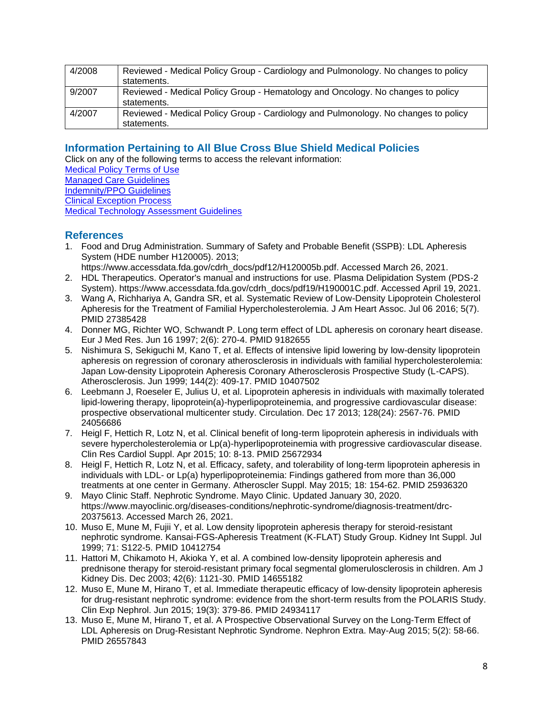| 4/2008 | Reviewed - Medical Policy Group - Cardiology and Pulmonology. No changes to policy<br>statements. |
|--------|---------------------------------------------------------------------------------------------------|
| 9/2007 | Reviewed - Medical Policy Group - Hematology and Oncology. No changes to policy<br>statements.    |
| 4/2007 | Reviewed - Medical Policy Group - Cardiology and Pulmonology. No changes to policy<br>statements. |

# <span id="page-7-0"></span>**Information Pertaining to All Blue Cross Blue Shield Medical Policies**

Click on any of the following terms to access the relevant information: [Medical Policy Terms of Use](http://www.bluecrossma.org/medical-policies/sites/g/files/csphws2091/files/acquiadam-assets/Medical_Policy_Terms_of_Use_prn.pdf) [Managed Care Guidelines](http://www.bluecrossma.org/medical-policies/sites/g/files/csphws2091/files/acquiadam-assets/Managed_Care_Guidelines_prn.pdf) [Indemnity/PPO Guidelines](http://www.bluecrossma.org/medical-policies/sites/g/files/csphws2091/files/acquiadam-assets/Indemnity_and_PPO_Guidelines_prn.pdf) [Clinical Exception Process](http://www.bluecrossma.org/medical-policies/sites/g/files/csphws2091/files/acquiadam-assets/Clinical_Exception_Process_prn.pdf) [Medical Technology Assessment Guidelines](http://www.bluecrossma.org/medical-policies/sites/g/files/csphws2091/files/acquiadam-assets/Medical_Technology_Assessment_Guidelines_prn.pdf)

# <span id="page-7-1"></span>**References**

- 1. Food and Drug Administration. Summary of Safety and Probable Benefit (SSPB): LDL Apheresis System (HDE number H120005). 2013;
	- https://www.accessdata.fda.gov/cdrh\_docs/pdf12/H120005b.pdf. Accessed March 26, 2021.
- 2. HDL Therapeutics. Operator's manual and instructions for use. Plasma Delipidation System (PDS-2 System). https://www.accessdata.fda.gov/cdrh\_docs/pdf19/H190001C.pdf. Accessed April 19, 2021.
- 3. Wang A, Richhariya A, Gandra SR, et al. Systematic Review of Low-Density Lipoprotein Cholesterol Apheresis for the Treatment of Familial Hypercholesterolemia. J Am Heart Assoc. Jul 06 2016; 5(7). PMID 27385428
- 4. Donner MG, Richter WO, Schwandt P. Long term effect of LDL apheresis on coronary heart disease. Eur J Med Res. Jun 16 1997; 2(6): 270-4. PMID 9182655
- 5. Nishimura S, Sekiguchi M, Kano T, et al. Effects of intensive lipid lowering by low-density lipoprotein apheresis on regression of coronary atherosclerosis in individuals with familial hypercholesterolemia: Japan Low-density Lipoprotein Apheresis Coronary Atherosclerosis Prospective Study (L-CAPS). Atherosclerosis. Jun 1999; 144(2): 409-17. PMID 10407502
- 6. Leebmann J, Roeseler E, Julius U, et al. Lipoprotein apheresis in individuals with maximally tolerated lipid-lowering therapy, lipoprotein(a)-hyperlipoproteinemia, and progressive cardiovascular disease: prospective observational multicenter study. Circulation. Dec 17 2013; 128(24): 2567-76. PMID 24056686
- 7. Heigl F, Hettich R, Lotz N, et al. Clinical benefit of long-term lipoprotein apheresis in individuals with severe hypercholesterolemia or Lp(a)-hyperlipoproteinemia with progressive cardiovascular disease. Clin Res Cardiol Suppl. Apr 2015; 10: 8-13. PMID 25672934
- 8. Heigl F, Hettich R, Lotz N, et al. Efficacy, safety, and tolerability of long-term lipoprotein apheresis in individuals with LDL- or Lp(a) hyperlipoproteinemia: Findings gathered from more than 36,000 treatments at one center in Germany. Atheroscler Suppl. May 2015; 18: 154-62. PMID 25936320
- 9. Mayo Clinic Staff. Nephrotic Syndrome. Mayo Clinic. Updated January 30, 2020. https://www.mayoclinic.org/diseases-conditions/nephrotic-syndrome/diagnosis-treatment/drc-20375613. Accessed March 26, 2021.
- 10. Muso E, Mune M, Fujii Y, et al. Low density lipoprotein apheresis therapy for steroid-resistant nephrotic syndrome. Kansai-FGS-Apheresis Treatment (K-FLAT) Study Group. Kidney Int Suppl. Jul 1999; 71: S122-5. PMID 10412754
- 11. Hattori M, Chikamoto H, Akioka Y, et al. A combined low-density lipoprotein apheresis and prednisone therapy for steroid-resistant primary focal segmental glomerulosclerosis in children. Am J Kidney Dis. Dec 2003; 42(6): 1121-30. PMID 14655182
- 12. Muso E, Mune M, Hirano T, et al. Immediate therapeutic efficacy of low-density lipoprotein apheresis for drug-resistant nephrotic syndrome: evidence from the short-term results from the POLARIS Study. Clin Exp Nephrol. Jun 2015; 19(3): 379-86. PMID 24934117
- 13. Muso E, Mune M, Hirano T, et al. A Prospective Observational Survey on the Long-Term Effect of LDL Apheresis on Drug-Resistant Nephrotic Syndrome. Nephron Extra. May-Aug 2015; 5(2): 58-66. PMID 26557843